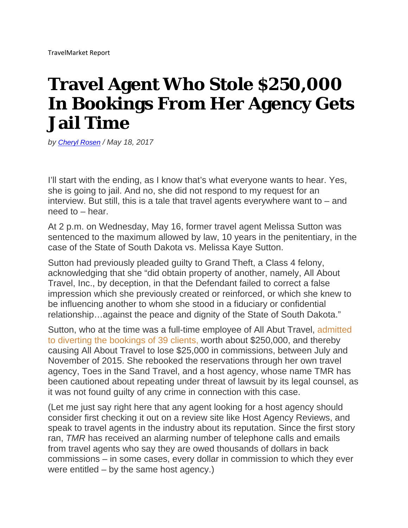## **Travel Agent Who Stole \$250,000 In Bookings From Her Agency Gets Jail Time**

*by Cheryl Rosen / May 18, 2017* 

I'll start with the ending, as I know that's what everyone wants to hear. Yes, she is going to jail. And no, she did not respond to my request for an interview. But still, this is a tale that travel agents everywhere want to  $-$  and need to – hear.

At 2 p.m. on Wednesday, May 16, former travel agent Melissa Sutton was sentenced to the maximum allowed by law, 10 years in the penitentiary, in the case of the State of South Dakota vs. Melissa Kaye Sutton.

Sutton had previously pleaded guilty to Grand Theft, a Class 4 felony, acknowledging that she "did obtain property of another, namely, All About Travel, Inc., by deception, in that the Defendant failed to correct a false impression which she previously created or reinforced, or which she knew to be influencing another to whom she stood in a fiduciary or confidential relationship…against the peace and dignity of the State of South Dakota."

Sutton, who at the time was a full-time employee of All Abut Travel, admitted to diverting the bookings of 39 clients, worth about \$250,000, and thereby causing All About Travel to lose \$25,000 in commissions, between July and November of 2015. She rebooked the reservations through her own travel agency, Toes in the Sand Travel, and a host agency, whose name TMR has been cautioned about repeating under threat of lawsuit by its legal counsel, as it was not found guilty of any crime in connection with this case.

(Let me just say right here that any agent looking for a host agency should consider first checking it out on a review site like Host Agency Reviews, and speak to travel agents in the industry about its reputation. Since the first story ran, *TMR* has received an alarming number of telephone calls and emails from travel agents who say they are owed thousands of dollars in back commissions – in some cases, every dollar in commission to which they ever were entitled – by the same host agency.)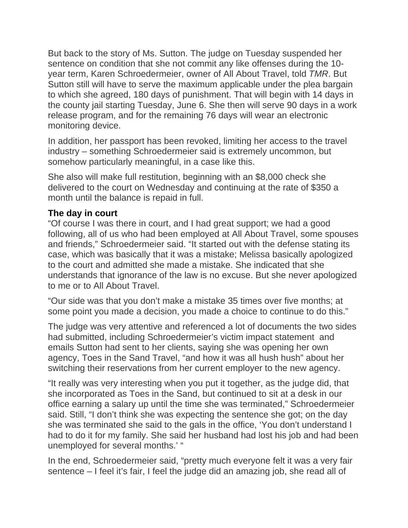But back to the story of Ms. Sutton. The judge on Tuesday suspended her sentence on condition that she not commit any like offenses during the 10 year term, Karen Schroedermeier, owner of All About Travel, told *TMR*. But Sutton still will have to serve the maximum applicable under the plea bargain to which she agreed, 180 days of punishment. That will begin with 14 days in the county jail starting Tuesday, June 6. She then will serve 90 days in a work release program, and for the remaining 76 days will wear an electronic monitoring device.

In addition, her passport has been revoked, limiting her access to the travel industry – something Schroedermeier said is extremely uncommon, but somehow particularly meaningful, in a case like this.

She also will make full restitution, beginning with an \$8,000 check she delivered to the court on Wednesday and continuing at the rate of \$350 a month until the balance is repaid in full.

## **The day in court**

"Of course I was there in court, and I had great support; we had a good following, all of us who had been employed at All About Travel, some spouses and friends," Schroedermeier said. "It started out with the defense stating its case, which was basically that it was a mistake; Melissa basically apologized to the court and admitted she made a mistake. She indicated that she understands that ignorance of the law is no excuse. But she never apologized to me or to All About Travel.

"Our side was that you don't make a mistake 35 times over five months; at some point you made a decision, you made a choice to continue to do this."

The judge was very attentive and referenced a lot of documents the two sides had submitted, including Schroedermeier's victim impact statement and emails Sutton had sent to her clients, saying she was opening her own agency, Toes in the Sand Travel, "and how it was all hush hush" about her switching their reservations from her current employer to the new agency.

"It really was very interesting when you put it together, as the judge did, that she incorporated as Toes in the Sand, but continued to sit at a desk in our office earning a salary up until the time she was terminated," Schroedermeier said. Still, "I don't think she was expecting the sentence she got; on the day she was terminated she said to the gals in the office, 'You don't understand I had to do it for my family. She said her husband had lost his job and had been unemployed for several months.' "

In the end, Schroedermeier said, "pretty much everyone felt it was a very fair sentence – I feel it's fair, I feel the judge did an amazing job, she read all of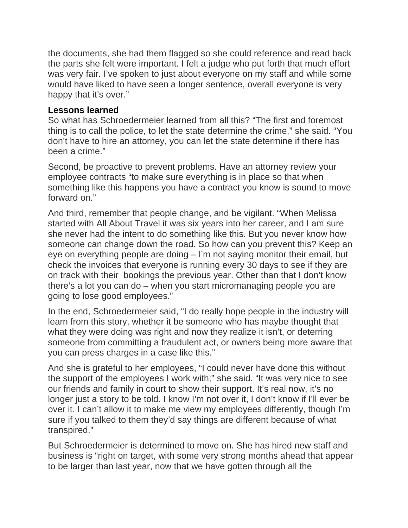the documents, she had them flagged so she could reference and read back the parts she felt were important. I felt a judge who put forth that much effort was very fair. I've spoken to just about everyone on my staff and while some would have liked to have seen a longer sentence, overall everyone is very happy that it's over."

## **Lessons learned**

So what has Schroedermeier learned from all this? "The first and foremost thing is to call the police, to let the state determine the crime," she said. "You don't have to hire an attorney, you can let the state determine if there has been a crime."

Second, be proactive to prevent problems. Have an attorney review your employee contracts "to make sure everything is in place so that when something like this happens you have a contract you know is sound to move forward on."

And third, remember that people change, and be vigilant. "When Melissa started with All About Travel it was six years into her career, and I am sure she never had the intent to do something like this. But you never know how someone can change down the road. So how can you prevent this? Keep an eye on everything people are doing – I'm not saying monitor their email, but check the invoices that everyone is running every 30 days to see if they are on track with their bookings the previous year. Other than that I don't know there's a lot you can do – when you start micromanaging people you are going to lose good employees."

In the end, Schroedermeier said, "I do really hope people in the industry will learn from this story, whether it be someone who has maybe thought that what they were doing was right and now they realize it isn't, or deterring someone from committing a fraudulent act, or owners being more aware that you can press charges in a case like this."

And she is grateful to her employees, "I could never have done this without the support of the employees I work with;" she said. "It was very nice to see our friends and family in court to show their support. It's real now, it's no longer just a story to be told. I know I'm not over it, I don't know if I'll ever be over it. I can't allow it to make me view my employees differently, though I'm sure if you talked to them they'd say things are different because of what transpired."

But Schroedermeier is determined to move on. She has hired new staff and business is "right on target, with some very strong months ahead that appear to be larger than last year, now that we have gotten through all the